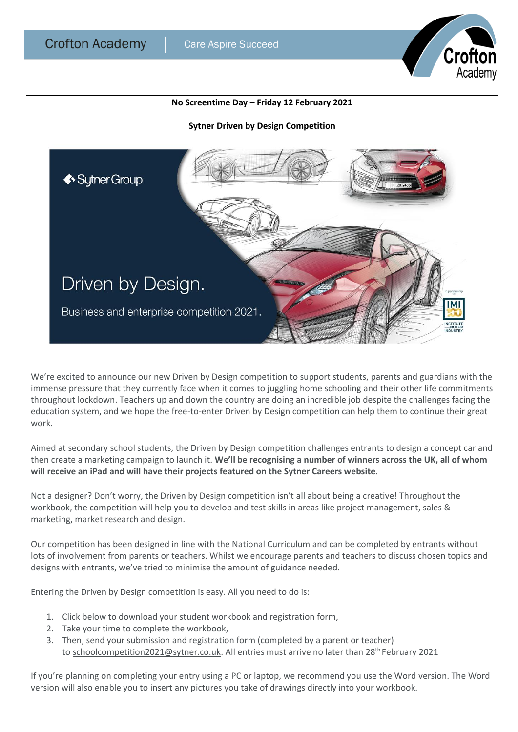



We're excited to announce our new Driven by Design competition to support students, parents and guardians with the immense pressure that they currently face when it comes to juggling home schooling and their other life commitments throughout lockdown. Teachers up and down the country are doing an incredible job despite the challenges facing the education system, and we hope the free-to-enter Driven by Design competition can help them to continue their great work.

Aimed at secondary school students, the Driven by Design competition challenges entrants to design a concept car and then create a marketing campaign to launch it. **We'll be recognising a number of winners across the UK, all of whom will receive an iPad and will have their projects featured on the Sytner Careers website.**

Not a designer? Don't worry, the Driven by Design competition isn't all about being a creative! Throughout the workbook, the competition will help you to develop and test skills in areas like project management, sales & marketing, market research and design.

Our competition has been designed in line with the National Curriculum and can be completed by entrants without lots of involvement from parents or teachers. Whilst we encourage parents and teachers to discuss chosen topics and designs with entrants, we've tried to minimise the amount of guidance needed.

Entering the Driven by Design competition is easy. All you need to do is:

- 1. Click below to download your student workbook and registration form,
- 2. Take your time to complete the workbook,
- 3. Then, send your submission and registration form (completed by a parent or teacher) to [schoolcompetition2021@sytner.co.uk.](mailto:schoolcompetition2021@sytner.co.uk) All entries must arrive no later than 28<sup>th</sup> February 2021

If you're planning on completing your entry using a PC or laptop, we recommend you use the Word version. The Word version will also enable you to insert any pictures you take of drawings directly into your workbook.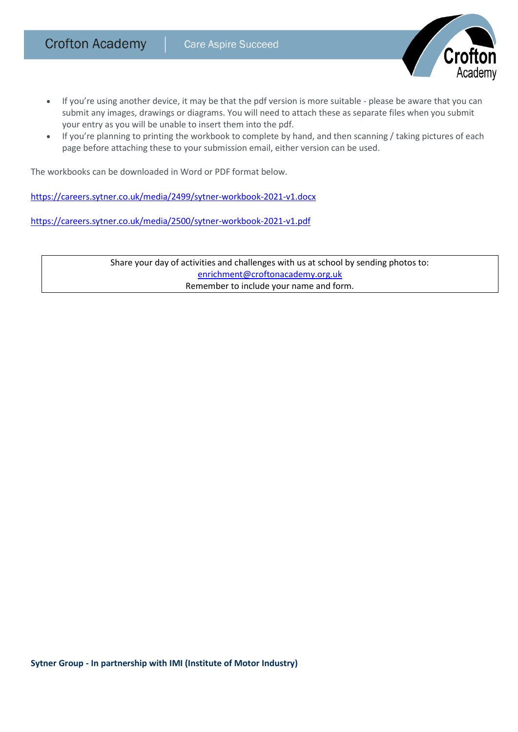If you're using another device, it may be that the pdf version is more suitable - please be aware that you can submit any images, drawings or diagrams. You will need to attach these as separate files when you submit your entry as you will be unable to insert them into the pdf.

Crof

 If you're planning to printing the workbook to complete by hand, and then scanning / taking pictures of each page before attaching these to your submission email, either version can be used.

The workbooks can be downloaded in Word or PDF format below.

<https://careers.sytner.co.uk/media/2499/sytner-workbook-2021-v1.docx>

<https://careers.sytner.co.uk/media/2500/sytner-workbook-2021-v1.pdf>

Share your day of activities and challenges with us at school by sending photos to: [enrichment@croftonacademy.org.uk](mailto:enrichment@croftonacademy.org.uk) Remember to include your name and form.

**Sytner Group - In partnership with IMI (Institute of Motor Industry)**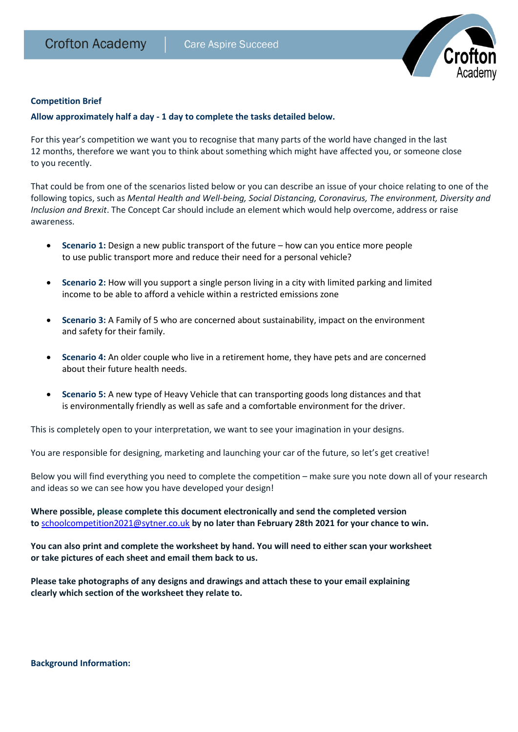

## **Competition Brief**

**Allow approximately half a day - 1 day to complete the tasks detailed below.**

For this year's competition we want you to recognise that many parts of the world have changed in the last 12 months, therefore we want you to think about something which might have affected you, or someone close to you recently.

That could be from one of the scenarios listed below or you can describe an issue of your choice relating to one of the following topics, such as *Mental Health and Well-being, Social Distancing, Coronavirus, The environment, Diversity and Inclusion and Brexit*. The Concept Car should include an element which would help overcome, address or raise awareness.

- **Scenario 1:** Design a new public transport of the future how can you entice more people to use public transport more and reduce their need for a personal vehicle?
- **Scenario 2:** How will you support a single person living in a city with limited parking and limited income to be able to afford a vehicle within a restricted emissions zone
- **Scenario 3:** A Family of 5 who are concerned about sustainability, impact on the environment and safety for their family.
- **Scenario 4:** An older couple who live in a retirement home, they have pets and are concerned about their future health needs.
- **Scenario 5:** A new type of Heavy Vehicle that can transporting goods long distances and that is environmentally friendly as well as safe and a comfortable environment for the driver.

This is completely open to your interpretation, we want to see your imagination in your designs.

You are responsible for designing, marketing and launching your car of the future, so let's get creative!

Below you will find everything you need to complete the competition – make sure you note down all of your research and ideas so we can see how you have developed your design!

**Where possible, please complete this document electronically and send the completed version to** [schoolcompetition2021@sytner.co.uk](mailto:schoolcompetition2021@sytner.co.uk) **by no later than February 28th 2021 for your chance to win.**

**You can also print and complete the worksheet by hand. You will need to either scan your worksheet or take pictures of each sheet and email them back to us.**

**Please take photographs of any designs and drawings and attach these to your email explaining clearly which section of the worksheet they relate to.**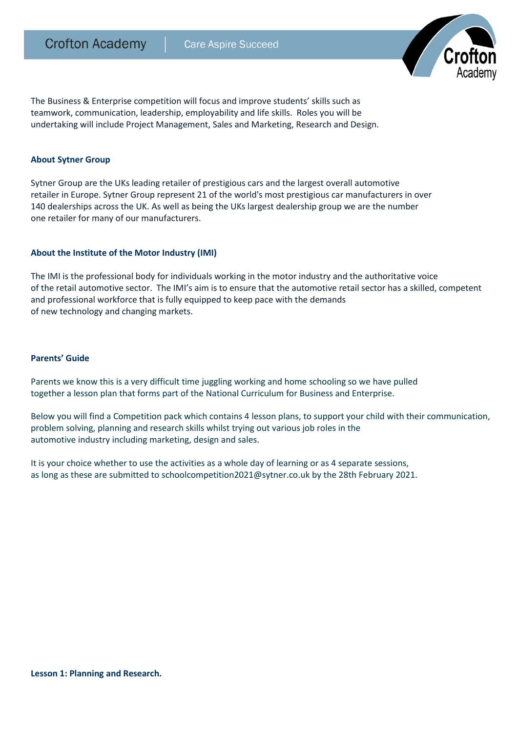The Business & Enterprise competition will focus and improve students' skills such as teamwork, communication, leadership, employability and life skills. Roles you will be undertaking will include Project Management, Sales and Marketing, Research and Design.

## **About Sytner Group**

[Sytner Group](https://www.sytner.co.uk/?utm_source=24&utm_medium=2&utm_term=%2Bsytner%20cars&utm_content=1033690532&k_clickid=_k_EAIaIQobChMI0uro4-uM7gIVmfhRCh3-NgVqEAAYASAAEgILe_D_BwE_k_&utm_campaign=CM005678-22&infinity=ict2~net~gaw~ar~427915099182~kw~%2Bsytner%20cars~mt~b~cmp~Sytner%20Group%20-%20Buy%20Online~ag~Sytner%20Group%20-%20Broad%20-%20RLSA&gclid=EAIaIQobChMI0uro4-uM7gIVmfhRCh3-NgVqEAAYASAAEgILe_D_BwE) are the UKs leading retailer of prestigious cars and the largest overall automotive retailer in Europe. Sytner Group represent 21 of the world's most prestigious car manufacturers in over 140 dealerships across the UK. As well as being the UKs largest dealership group we are the number one retailer for many of our manufacturers.

#### **About the Institute of the Motor Industry (IMI)**

The IMI is the professional body for individuals working in the motor industry and the authoritative voice of the retail automotive sector. The IMI's aim is to ensure that the automotive retail sector has a skilled, competent and professional workforce that is fully equipped to keep pace with the demands of new technology and changing markets.

#### **Parents' Guide**

Parents we know this is a very difficult time juggling working and home schooling so we have pulled together a lesson plan that forms part of the National Curriculum for Business and Enterprise.

Below you will find a Competition pack which contains 4 lesson plans, to support your child with their communication, problem solving, planning and research skills whilst trying out various job roles in the automotive industry including marketing, design and sales.

It is your choice whether to use the activities as a whole day of learning or as 4 separate sessions, as long as these are submitted to [schoolcompetition2021@sytner.co.uk](mailto:schoolcompetition2021@sytner.co.uk) by the 28th February 2021.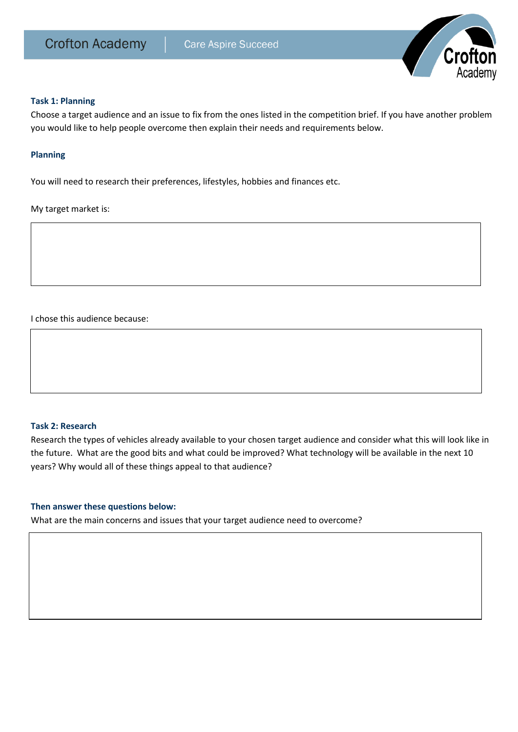

#### **Task 1: Planning**

Choose a target audience and an issue to fix from the ones listed in the competition brief. If you have another problem you would like to help people overcome then explain their needs and requirements below.

#### **Planning**

You will need to research their preferences, lifestyles, hobbies and finances etc.

My target market is:

I chose this audience because:

## **Task 2: Research**

Research the types of vehicles already available to your chosen target audience and consider what this will look like in the future. What are the good bits and what could be improved? What technology will be available in the next 10 years? Why would all of these things appeal to that audience?

## **Then answer these questions below:**

What are the main concerns and issues that your target audience need to overcome?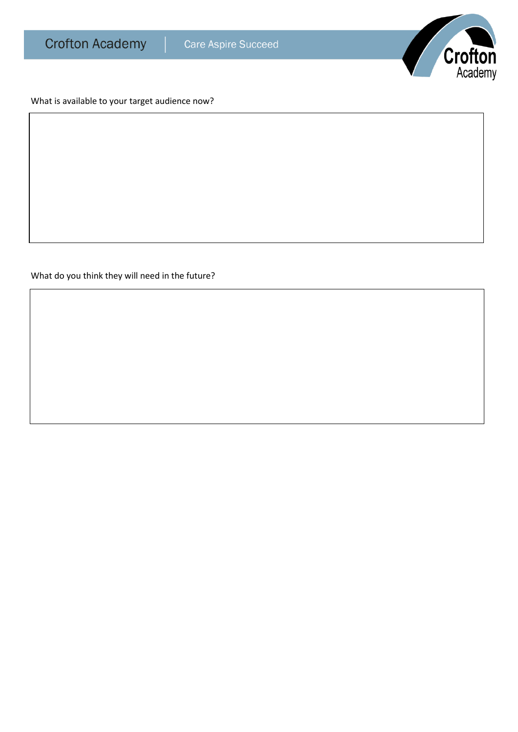

What is available to your target audience now?

What do you think they will need in the future?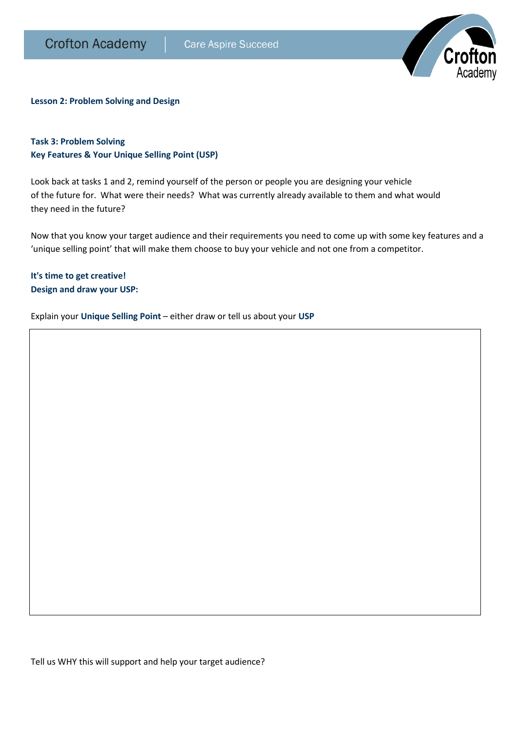

## **Lesson 2: Problem Solving and Design**

# **Task 3: Problem Solving Key Features & Your Unique Selling Point (USP)**

Look back at tasks 1 and 2, remind yourself of the person or people you are designing your vehicle of the future for. What were their needs? What was currently already available to them and what would they need in the future?

Now that you know your target audience and their requirements you need to come up with some key features and a 'unique selling point' that will make them choose to buy your vehicle and not one from a competitor.

# **It's time to get creative! Design and draw your USP:**

Explain your **Unique Selling Point** – either draw or tell us about your **USP**

Tell us WHY this will support and help your target audience?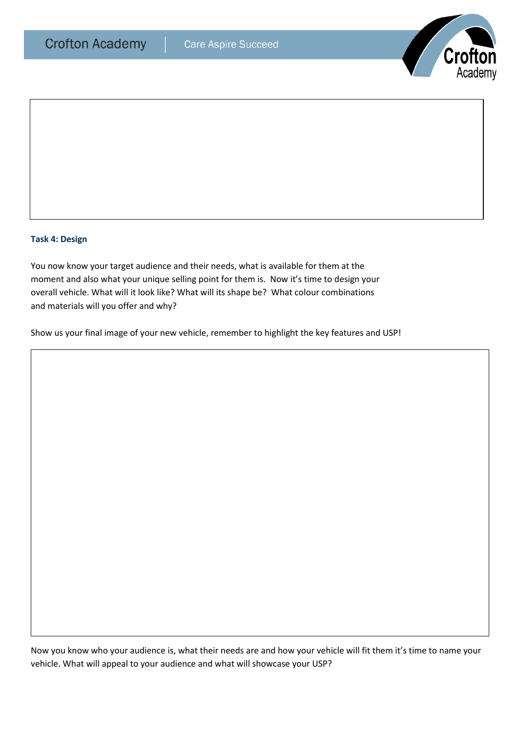**Crofton Academy** 



## **Task 4: Design**

**Lesson 3: Marketing.**

**Task 5: Marketing** 

**Name, logo and strap line** 

You now know your target audience and their needs, what is available for them at the moment and also what your unique selling point for them is. Now it's time to design your overall vehicle. What will it look like? What will its shape be? What colour combinations and materials will you offer and why?

Show us your final image of your new vehicle, remember to highlight the key features and USP!

Now you know who your audience is, what their needs are and how your vehicle will fit them it's time to name your vehicle. What will appeal to your audience and what will showcase your USP?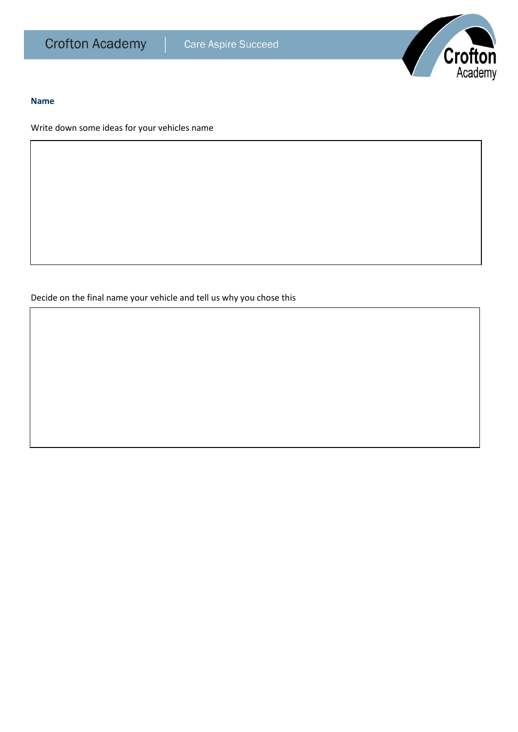

#### **Name**

Write down some ideas for your vehicles name

Decide on the final name your vehicle and tell us why you chose this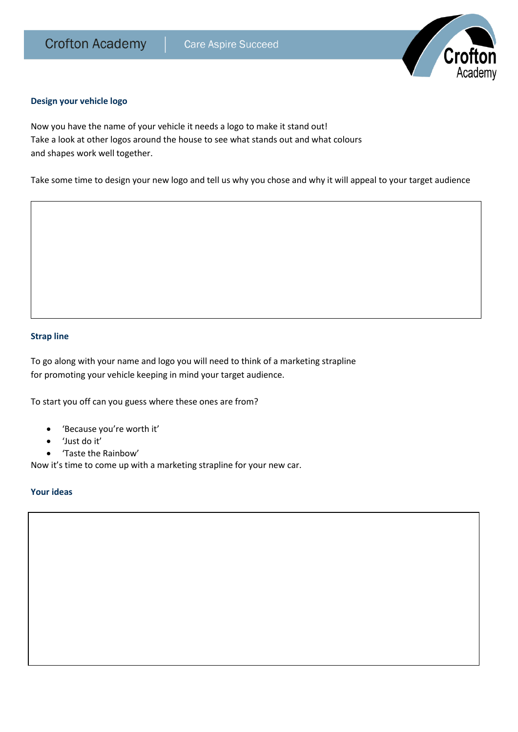

## **Design your vehicle logo**

Now you have the name of your vehicle it needs a logo to make it stand out! Take a look at other logos around the house to see what stands out and what colours and shapes work well together.

Take some time to design your new logo and tell us why you chose and why it will appeal to your target audience

## **Strap line**

To go along with your name and logo you will need to think of a marketing strapline for promoting your vehicle keeping in mind your target audience.

To start you off can you guess where these ones are from?

- 'Because you're worth it'
- 'Just do it'
- 'Taste the Rainbow'

Now it's time to come up with a marketing strapline for your new car.

## **Your ideas**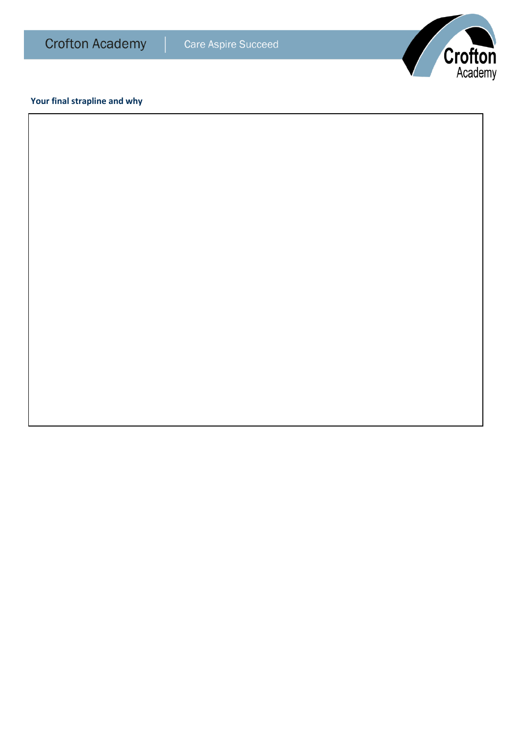

# **Your final strapline and why**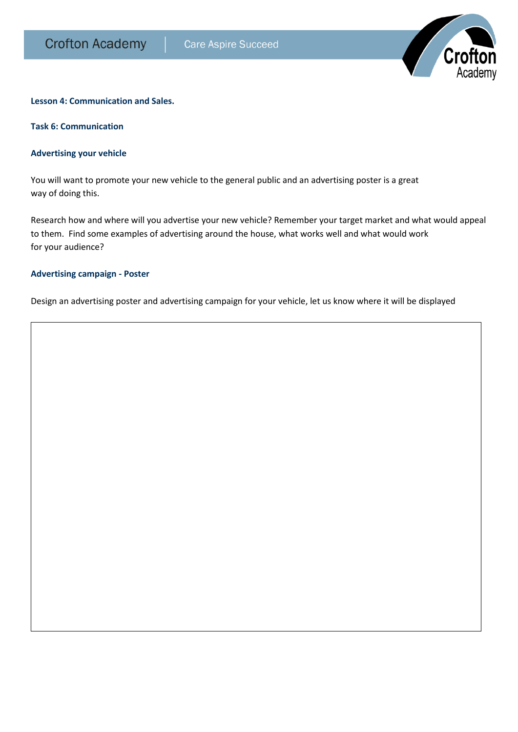

#### **Lesson 4: Communication and Sales.**

#### **Task 6: Communication**

#### **Advertising your vehicle**

You will want to promote your new vehicle to the general public and an advertising poster is a great way of doing this.

Research how and where will you advertise your new vehicle? Remember your target market and what would appeal to them. Find some examples of advertising around the house, what works well and what would work for your audience?

## **Advertising campaign - Poster**

Design an advertising poster and advertising campaign for your vehicle, let us know where it will be displayed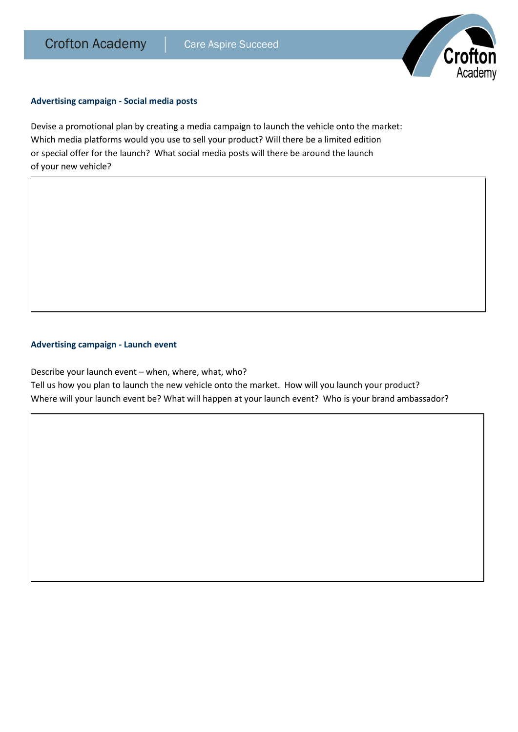

## **Advertising campaign - Social media posts**

Devise a promotional plan by creating a media campaign to launch the vehicle onto the market: Which media platforms would you use to sell your product? Will there be a limited edition or special offer for the launch? What social media posts will there be around the launch of your new vehicle?

## **Advertising campaign - Launch event**

Describe your launch event – when, where, what, who?

Tell us how you plan to launch the new vehicle onto the market. How will you launch your product? Where will your launch event be? What will happen at your launch event? Who is your brand ambassador?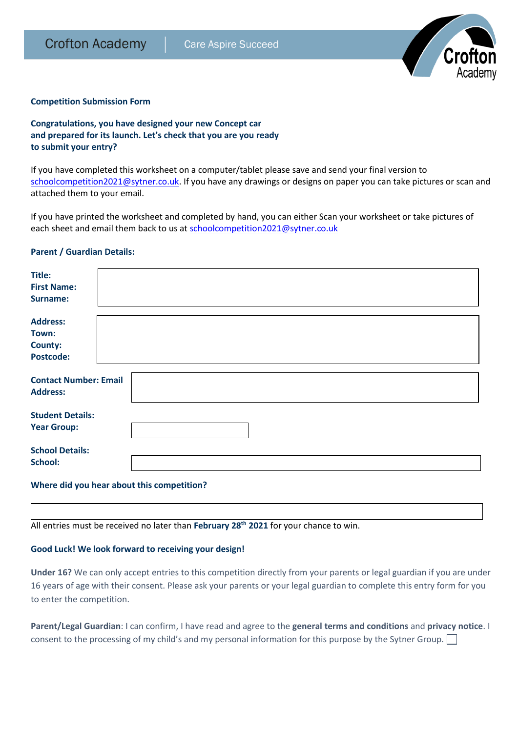

## **Competition Submission Form**

**Congratulations, you have designed your new Concept car and prepared for its launch. Let's check that you are you ready to submit your entry?**

If you have completed this worksheet on a computer/tablet please save and send your final version to schoolcompetition2021@sytner.co.uk</u>. If you have any drawings or designs on paper you can take pictures or scan and attached them to your email.

If you have printed the worksheet and completed by hand, you can either Scan your worksheet or take pictures of each sheet and email them back to us at [schoolcompetition2021@sytner.co.uk](mailto:schoolcompetition2021@sytner.co.uk)

#### **Parent / Guardian Details:**

| Title:                       |  |
|------------------------------|--|
| <b>First Name:</b>           |  |
| Surname:                     |  |
| <b>Address:</b>              |  |
| Town:                        |  |
| <b>County:</b>               |  |
| <b>Postcode:</b>             |  |
|                              |  |
| <b>Contact Number: Email</b> |  |
| <b>Address:</b>              |  |
| <b>Student Details:</b>      |  |
| <b>Year Group:</b>           |  |
| <b>School Details:</b>       |  |
| School:                      |  |
|                              |  |

#### **Where did you hear about this competition?**

All entries must be received no later than **February 28th 2021** for your chance to win.

## **Good Luck! We look forward to receiving your design!**

**Under 16?** We can only accept entries to this competition directly from your parents or legal guardian if you are under 16 years of age with their consent. Please ask your parents or your legal guardian to complete this entry form for you to enter the competition.

**Parent/Legal Guardian**: I can confirm, I have read and agree to the **general terms and conditions** and **privacy notice**. I consent to the processing of my child's and my personal information for this purpose by the Sytner Group.  $\Box$